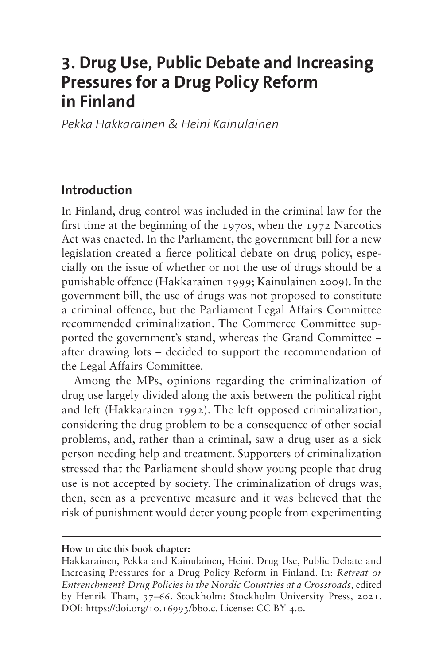# **3. Drug Use, Public Debate and Increasing Pressures for a Drug Policy Reform in Finland**

*Pekka Hakkarainen & Heini Kainulainen*

### **Introduction**

In Finland, drug control was included in the criminal law for the first time at the beginning of the 1970s, when the 1972 Narcotics Act was enacted. In the Parliament, the government bill for a new legislation created a fierce political debate on drug policy, especially on the issue of whether or not the use of drugs should be a punishable offence (Hakkarainen 1999; Kainulainen 2009). In the government bill, the use of drugs was not proposed to constitute a criminal offence, but the Parliament Legal Affairs Committee recommended criminalization. The Commerce Committee supported the government's stand, whereas the Grand Committee – after drawing lots – decided to support the recommendation of the Legal Affairs Committee.

Among the MPs, opinions regarding the criminalization of drug use largely divided along the axis between the political right and left (Hakkarainen 1992). The left opposed criminalization, considering the drug problem to be a consequence of other social problems, and, rather than a criminal, saw a drug user as a sick person needing help and treatment. Supporters of criminalization stressed that the Parliament should show young people that drug use is not accepted by society. The criminalization of drugs was, then, seen as a preventive measure and it was believed that the risk of punishment would deter young people from experimenting

**How to cite this book chapter:**

Hakkarainen, Pekka and Kainulainen, Heini. Drug Use, Public Debate and Increasing Pressures for a Drug Policy Reform in Finland. In: *Retreat or Entrenchment? Drug Policies in the Nordic Countries at a Crossroads,* edited by Henrik Tham, 37–66. Stockholm: Stockholm University Press, 2021. DOI:<https://doi.org/10.16993/bbo.c>. License: CC BY 4.0.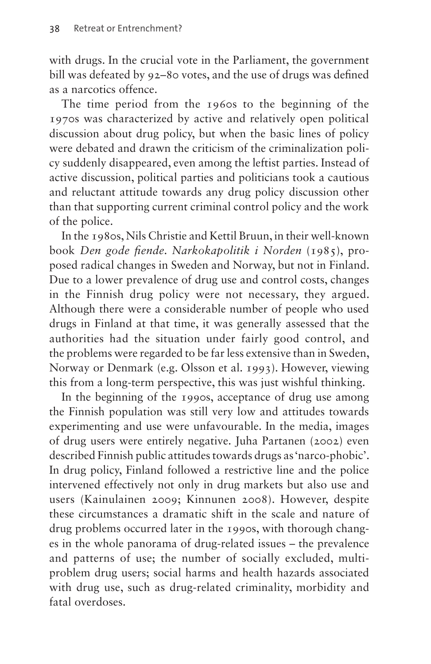with drugs. In the crucial vote in the Parliament, the government bill was defeated by 92–80 votes, and the use of drugs was defined as a narcotics offence.

The time period from the 1960s to the beginning of the 1970s was characterized by active and relatively open political discussion about drug policy, but when the basic lines of policy were debated and drawn the criticism of the criminalization policy suddenly disappeared, even among the leftist parties. Instead of active discussion, political parties and politicians took a cautious and reluctant attitude towards any drug policy discussion other than that supporting current criminal control policy and the work of the police.

In the 1980s, Nils Christie and Kettil Bruun, in their well-known book *Den gode fiende. Narkokapolitik i Norden* (1985), proposed radical changes in Sweden and Norway, but not in Finland. Due to a lower prevalence of drug use and control costs, changes in the Finnish drug policy were not necessary, they argued. Although there were a considerable number of people who used drugs in Finland at that time, it was generally assessed that the authorities had the situation under fairly good control, and the problems were regarded to be far less extensive than in Sweden, Norway or Denmark (e.g. Olsson et al. 1993). However, viewing this from a long-term perspective, this was just wishful thinking.

In the beginning of the 1990s, acceptance of drug use among the Finnish population was still very low and attitudes towards experimenting and use were unfavourable. In the media, images of drug users were entirely negative. Juha Partanen (2002) even described Finnish public attitudes towards drugs as 'narco-phobic'. In drug policy, Finland followed a restrictive line and the police intervened effectively not only in drug markets but also use and users (Kainulainen 2009; Kinnunen 2008). However, despite these circumstances a dramatic shift in the scale and nature of drug problems occurred later in the 1990s, with thorough changes in the whole panorama of drug-related issues – the prevalence and patterns of use; the number of socially excluded, multiproblem drug users; social harms and health hazards associated with drug use, such as drug-related criminality, morbidity and fatal overdoses.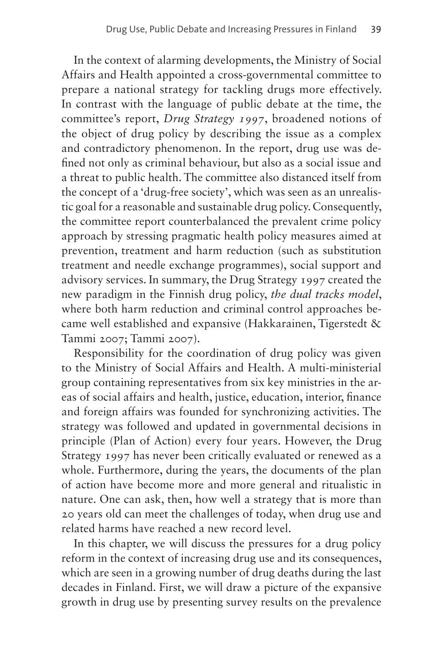In the context of alarming developments, the Ministry of Social Affairs and Health appointed a cross-governmental committee to prepare a national strategy for tackling drugs more effectively. In contrast with the language of public debate at the time, the committee's report, *Drug Strategy 1997*, broadened notions of the object of drug policy by describing the issue as a complex and contradictory phenomenon. In the report, drug use was defined not only as criminal behaviour, but also as a social issue and a threat to public health. The committee also distanced itself from the concept of a 'drug-free society', which was seen as an unrealistic goal for a reasonable and sustainable drug policy. Consequently, the committee report counterbalanced the prevalent crime policy approach by stressing pragmatic health policy measures aimed at prevention, treatment and harm reduction (such as substitution treatment and needle exchange programmes), social support and advisory services. In summary, the Drug Strategy 1997 created the new paradigm in the Finnish drug policy, *the dual tracks model*, where both harm reduction and criminal control approaches became well established and expansive (Hakkarainen, Tigerstedt & Tammi 2007; Tammi 2007).

Responsibility for the coordination of drug policy was given to the Ministry of Social Affairs and Health. A multi-ministerial group containing representatives from six key ministries in the areas of social affairs and health, justice, education, interior, finance and foreign affairs was founded for synchronizing activities. The strategy was followed and updated in governmental decisions in principle (Plan of Action) every four years. However, the Drug Strategy 1997 has never been critically evaluated or renewed as a whole. Furthermore, during the years, the documents of the plan of action have become more and more general and ritualistic in nature. One can ask, then, how well a strategy that is more than 20 years old can meet the challenges of today, when drug use and related harms have reached a new record level.

In this chapter, we will discuss the pressures for a drug policy reform in the context of increasing drug use and its consequences, which are seen in a growing number of drug deaths during the last decades in Finland. First, we will draw a picture of the expansive growth in drug use by presenting survey results on the prevalence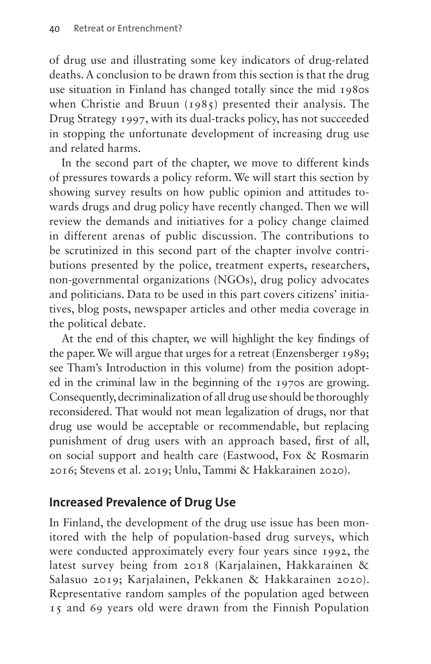of drug use and illustrating some key indicators of drug-related deaths. A conclusion to be drawn from this section is that the drug use situation in Finland has changed totally since the mid 1980s when Christie and Bruun (1985) presented their analysis. The Drug Strategy 1997, with its dual-tracks policy, has not succeeded in stopping the unfortunate development of increasing drug use and related harms.

In the second part of the chapter, we move to different kinds of pressures towards a policy reform. We will start this section by showing survey results on how public opinion and attitudes towards drugs and drug policy have recently changed. Then we will review the demands and initiatives for a policy change claimed in different arenas of public discussion. The contributions to be scrutinized in this second part of the chapter involve contributions presented by the police, treatment experts, researchers, non-governmental organizations (NGOs), drug policy advocates and politicians. Data to be used in this part covers citizens' initiatives, blog posts, newspaper articles and other media coverage in the political debate.

At the end of this chapter, we will highlight the key findings of the paper. We will argue that urges for a retreat (Enzensberger 1989; see Tham's Introduction in this volume) from the position adopted in the criminal law in the beginning of the 1970s are growing. Consequently, decriminalization of all drug use should be thoroughly reconsidered. That would not mean legalization of drugs, nor that drug use would be acceptable or recommendable, but replacing punishment of drug users with an approach based, first of all, on social support and health care (Eastwood, Fox & Rosmarin 2016; Stevens et al. 2019; Unlu, Tammi & Hakkarainen 2020).

# **Increased Prevalence of Drug Use**

In Finland, the development of the drug use issue has been monitored with the help of population-based drug surveys, which were conducted approximately every four years since 1992, the latest survey being from 2018 (Karjalainen, Hakkarainen & Salasuo 2019; Karjalainen, Pekkanen & Hakkarainen 2020). Representative random samples of the population aged between 15 and 69 years old were drawn from the Finnish Population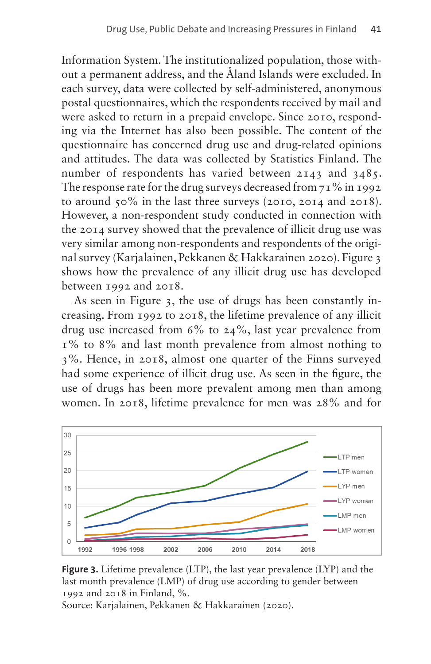Information System. The institutionalized population, those without a permanent address, and the Åland Islands were excluded. In each survey, data were collected by self-administered, anonymous postal questionnaires, which the respondents received by mail and were asked to return in a prepaid envelope. Since 2010, responding via the Internet has also been possible. The content of the questionnaire has concerned drug use and drug-related opinions and attitudes. The data was collected by Statistics Finland. The number of respondents has varied between 2143 and 3485. The response rate for the drug surveys decreased from  $71\%$  in 1992 to around 50% in the last three surveys (2010, 2014 and 2018). However, a non-respondent study conducted in connection with the 2014 survey showed that the prevalence of illicit drug use was very similar among non-respondents and respondents of the original survey (Karjalainen, Pekkanen & Hakkarainen 2020). [Figure 3](#page-4-0) shows how the prevalence of any illicit drug use has developed between 1992 and 2018.

As seen in [Figure 3](#page-4-0), the use of drugs has been constantly increasing. From 1992 to 2018, the lifetime prevalence of any illicit drug use increased from 6% to 24%, last year prevalence from 1% to 8% and last month prevalence from almost nothing to 3%. Hence, in 2018, almost one quarter of the Finns surveyed had some experience of illicit drug use. As seen in the figure, the use of drugs has been more prevalent among men than among women. In 2018, lifetime prevalence for men was 28% and for



<span id="page-4-0"></span>**Figure 3.** Lifetime prevalence (LTP), the last year prevalence (LYP) and the last month prevalence (LMP) of drug use according to gender between 1992 and 2018 in Finland, %.

Source: Karjalainen, Pekkanen & Hakkarainen (2020).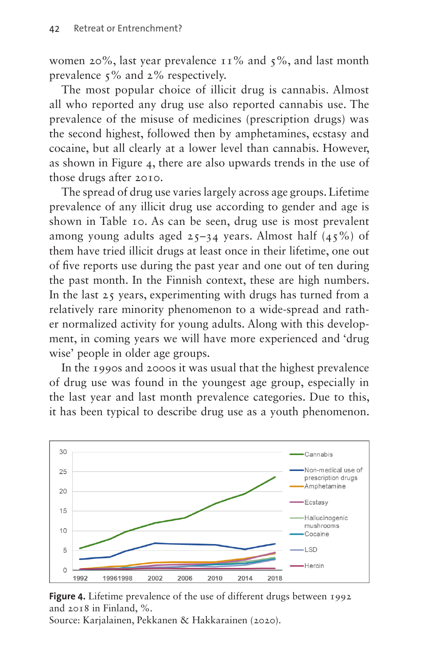women 20%, last year prevalence  $11\%$  and  $5\%$ , and last month prevalence 5% and 2% respectively.

The most popular choice of illicit drug is cannabis. Almost all who reported any drug use also reported cannabis use. The prevalence of the misuse of medicines (prescription drugs) was the second highest, followed then by amphetamines, ecstasy and cocaine, but all clearly at a lower level than cannabis. However, as shown in [Figure 4](#page-5-0), there are also upwards trends in the use of those drugs after 2010.

The spread of drug use varies largely across age groups. Lifetime prevalence of any illicit drug use according to gender and age is shown in [Table 10](#page-6-0). As can be seen, drug use is most prevalent among young adults aged  $25-34$  years. Almost half  $(45\%)$  of them have tried illicit drugs at least once in their lifetime, one out of five reports use during the past year and one out of ten during the past month. In the Finnish context, these are high numbers. In the last 25 years, experimenting with drugs has turned from a relatively rare minority phenomenon to a wide-spread and rather normalized activity for young adults. Along with this development, in coming years we will have more experienced and 'drug wise' people in older age groups.

In the 1990s and 2000s it was usual that the highest prevalence of drug use was found in the youngest age group, especially in the last year and last month prevalence categories. Due to this, it has been typical to describe drug use as a youth phenomenon.



<span id="page-5-0"></span>**Figure 4.** Lifetime prevalence of the use of different drugs between 1992 and 2018 in Finland, %.

Source: Karjalainen, Pekkanen & Hakkarainen (2020).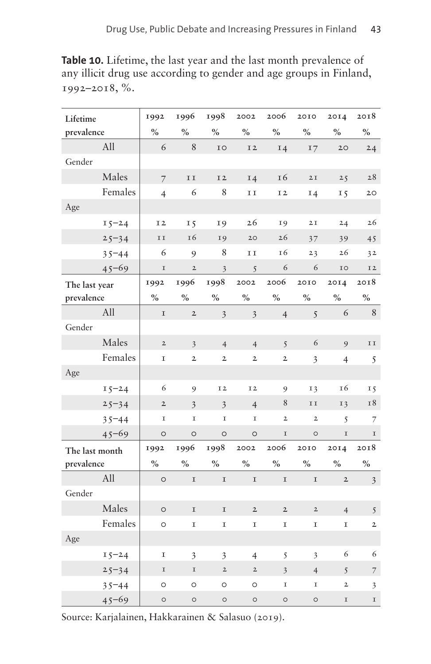<span id="page-6-0"></span>**Table 10.** Lifetime, the last year and the last month prevalence of any illicit drug use according to gender and age groups in Finland, 1992–2018, %.

| Lifetime       |           | 1992                | 1996                    | 1998                    | 2002                    | 2006                    | 2010                | 2014           | 2018                    |
|----------------|-----------|---------------------|-------------------------|-------------------------|-------------------------|-------------------------|---------------------|----------------|-------------------------|
| prevalence     |           | $\%$                | $\%$                    | $\%$                    | $\%$                    | $\%$                    | $\%$                | $\%$           | $\%$                    |
|                | All       | $\epsilon$          | $\,$ 8 $\,$             | IO                      | I <sub>2</sub>          | <b>14</b>               | 17                  | 20             | 24                      |
| Gender         |           |                     |                         |                         |                         |                         |                     |                |                         |
|                | Males     | $\overline{7}$      | II                      | I2                      | <b>I4</b>               | I6                      | 2I                  | 25             | 28                      |
|                | Females   | $\overline{4}$      | 6                       | 8                       | II                      | I2                      | <b>14</b>           | 15             | 20                      |
| Age            |           |                     |                         |                         |                         |                         |                     |                |                         |
|                | $15 - 24$ | I <sub>2</sub>      | 15                      | I9                      | 26                      | I9                      | $2\,\mathrm{I}$     | 24             | 26                      |
|                | $25 - 34$ | ${\tt I}$ ${\tt I}$ | I6                      | I9                      | 20                      | 26                      | 37                  | 39             | 45                      |
|                | $35 - 44$ | 6                   | 9                       | 8                       | ${\tt I\,I}$            | 16                      | 23                  | 26             | 32                      |
|                | $45 - 69$ | $\mathbf I$         | $\mathbf{2}$            | $\overline{\mathbf{3}}$ | 5                       | 6                       | 6                   | IO             | I2                      |
| The last year  |           | 1992                | 1996                    | 1998                    | 2002                    | 2006                    | 2010                | 2014           | 2018                    |
| prevalence     |           | $\%$                | $\%$                    | $\%$                    | $\frac{0}{0}$           | $\%$                    | $\%$                | $\%$           | $\%$                    |
|                | All       | $\mathbf I$         | $\overline{2}$          | $\overline{\mathbf{3}}$ | $\overline{\mathbf{3}}$ | $\overline{4}$          | 5                   | 6              | 8                       |
| Gender         |           |                     |                         |                         |                         |                         |                     |                |                         |
|                | Males     | $\mathbf 2$         | $\overline{3}$          | $\overline{4}$          | $\overline{4}$          | 5                       | 6                   | 9              | $\rm I$ $\rm I$         |
|                | Females   | I                   | $\mathbf{2}$            | $\mathbf{2}$            | $\mathbf 2$             | $\mathbf{2}$            | 3                   | $\overline{4}$ | 5                       |
| Age            |           |                     |                         |                         |                         |                         |                     |                |                         |
|                | $15 - 24$ | 6                   | 9                       | I <sub>2</sub>          | I2                      | 9                       | 13                  | 16             | 15                      |
|                | $25 - 34$ | $\mathbf 2$         | $\overline{\mathbf{3}}$ | $\overline{\mathbf{3}}$ | $\overline{4}$          | 8                       | ${\tt I}$ ${\tt I}$ | 13             | 18                      |
|                | $35 - 44$ | I                   | I                       | I                       | I                       | $\overline{2}$          | $\mathbf{2}$        | 5              | 7                       |
|                | $45 - 69$ | $\circ$             | $\circ$                 | $\circ$                 | $\circ$                 | $\mathbf I$             | $\circ$             | $\mathbf I$    | $\mathbf I$             |
| The last month |           | 1992                | 1996                    | 1998                    | 2002                    | 2006                    | 2010                | 2014           | 2018                    |
| prevalence     |           | $\%$                | $\%$                    | $\%$                    | $\%$                    | $\%$                    | $\%$                | $\%$           | $\%$                    |
|                | All       | $\circ$             | $\mathbf I$             | $\mathbf I$             | $\mathbf I$             | $\mathbf I$             | $\mathbf I$         | $\mathbf 2$    | $\overline{\mathbf{3}}$ |
| Gender         |           |                     |                         |                         |                         |                         |                     |                |                         |
|                | Males     | $\circ$             | $\mathbf I$             | $\mathbf I$             | $\overline{2}$          | $\mathbf 2$             | $\mathbf 2$         | $\overline{4}$ | 5                       |
|                | Females   | $\circ$             | I                       | I                       | I                       | I                       | I                   | I              | $\mathbf{2}$            |
| Age            |           |                     |                         |                         |                         |                         |                     |                |                         |
|                | $15 - 24$ | I                   | $\overline{\mathbf{3}}$ | 3                       | $\overline{4}$          | 5                       | 3                   | 6              | 6                       |
|                | $25 - 34$ | $\mathbf I$         | $\mathbf I$             | $\mathbf 2$             | $\mathbf 2$             | $\overline{\mathbf{3}}$ | $\overline{4}$      | 5              | 7                       |
|                | $35 - 44$ | $\circ$             | $\circ$                 | $\circ$                 | $\circ$                 | I                       | $\mathbf I$         | $\overline{2}$ | 3                       |
|                | $45 - 69$ | $\circ$             | $\circ$                 | $\circ$                 | $\circ$                 | $\circ$                 | $\circ$             | $\mathbf I$    | $\mathbf I$             |

Source: Karjalainen, Hakkarainen & Salasuo (2019).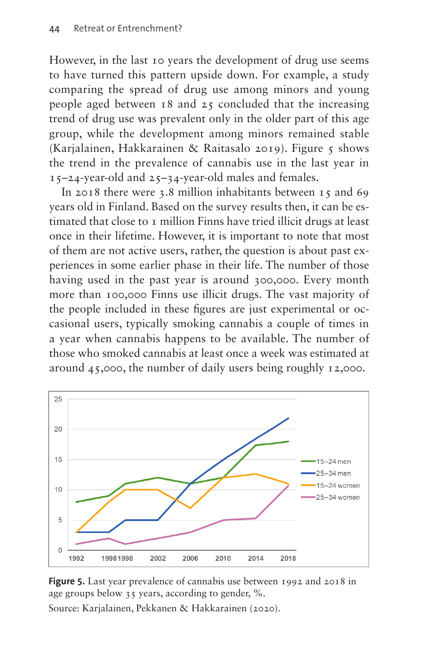However, in the last 10 years the development of drug use seems to have turned this pattern upside down. For example, a study comparing the spread of drug use among minors and young people aged between  $18$  and  $25$  concluded that the increasing trend of drug use was prevalent only in the older part of this age group, while the development among minors remained stable (Karjalainen, Hakkarainen & Raitasalo 2019). [Figure 5](#page-7-0) shows the trend in the prevalence of cannabis use in the last year in 15–24-year-old and 25–34-year-old males and females.

In 2018 there were 3.8 million inhabitants between 15 and 69 years old in Finland. Based on the survey results then, it can be estimated that close to 1 million Finns have tried illicit drugs at least once in their lifetime. However, it is important to note that most of them are not active users, rather, the question is about past experiences in some earlier phase in their life. The number of those having used in the past year is around 300,000. Every month more than 100,000 Finns use illicit drugs. The vast majority of the people included in these figures are just experimental or occasional users, typically smoking cannabis a couple of times in a year when cannabis happens to be available. The number of those who smoked cannabis at least once a week was estimated at around 45,000, the number of daily users being roughly 12,000.



<span id="page-7-0"></span>**Figure 5.** Last year prevalence of cannabis use between 1992 and 2018 in age groups below 35 years, according to gender, %.

Source: Karjalainen, Pekkanen & Hakkarainen (2020).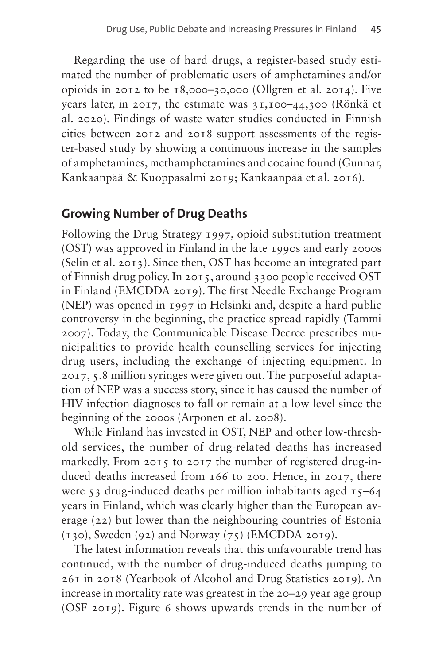Regarding the use of hard drugs, a register-based study estimated the number of problematic users of amphetamines and/or opioids in 2012 to be 18,000–30,000 (Ollgren et al. 2014). Five years later, in 2017, the estimate was 31,100–44,300 (Rönkä et al. 2020). Findings of waste water studies conducted in Finnish cities between 2012 and 2018 support assessments of the register-based study by showing a continuous increase in the samples of amphetamines, methamphetamines and cocaine found (Gunnar, Kankaanpää & Kuoppasalmi 2019; Kankaanpää et al. 2016).

### **Growing Number of Drug Deaths**

Following the Drug Strategy 1997, opioid substitution treatment (OST) was approved in Finland in the late 1990s and early 2000s (Selin et al. 2013). Since then, OST has become an integrated part of Finnish drug policy. In 2015, around 3300 people received OST in Finland (EMCDDA 2019). The first Needle Exchange Program (NEP) was opened in 1997 in Helsinki and, despite a hard public controversy in the beginning, the practice spread rapidly (Tammi 2007). Today, the Communicable Disease Decree prescribes municipalities to provide health counselling services for injecting drug users, including the exchange of injecting equipment. In 2017, 5.8 million syringes were given out. The purposeful adaptation of NEP was a success story, since it has caused the number of HIV infection diagnoses to fall or remain at a low level since the beginning of the 2000s (Arponen et al. 2008).

While Finland has invested in OST, NEP and other low-threshold services, the number of drug-related deaths has increased markedly. From 2015 to 2017 the number of registered drug-induced deaths increased from 166 to 200. Hence, in 2017, there were 53 drug-induced deaths per million inhabitants aged 15-64 years in Finland, which was clearly higher than the European average (22) but lower than the neighbouring countries of Estonia  $(130)$ , Sweden  $(92)$  and Norway  $(75)$  (EMCDDA 2019).

The latest information reveals that this unfavourable trend has continued, with the number of drug-induced deaths jumping to 261 in 2018 (Yearbook of Alcohol and Drug Statistics 2019). An increase in mortality rate was greatest in the 20–29 year age group (OSF 2019). [Figure 6](#page-9-0) shows upwards trends in the number of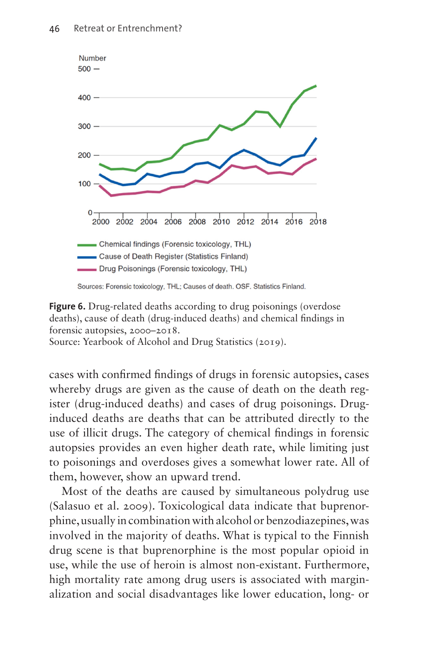

<span id="page-9-0"></span>**Figure 6.** Drug-related deaths according to drug poisonings (overdose) deaths), cause of death (drug-induced deaths) and chemical findings in forensic autopsies, 2000–2018. Source: Yearbook of Alcohol and Drug Statistics (2019).

cases with confirmed findings of drugs in forensic autopsies, cases whereby drugs are given as the cause of death on the death register (drug-induced deaths) and cases of drug poisonings. Druginduced deaths are deaths that can be attributed directly to the use of illicit drugs. The category of chemical findings in forensic autopsies provides an even higher death rate, while limiting just to poisonings and overdoses gives a somewhat lower rate. All of them, however, show an upward trend.

Most of the deaths are caused by simultaneous polydrug use (Salasuo et al. 2009). Toxicological data indicate that buprenorphine, usually in combination with alcohol or benzodiazepines, was involved in the majority of deaths. What is typical to the Finnish drug scene is that buprenorphine is the most popular opioid in use, while the use of heroin is almost non-existant. Furthermore, high mortality rate among drug users is associated with marginalization and social disadvantages like lower education, long- or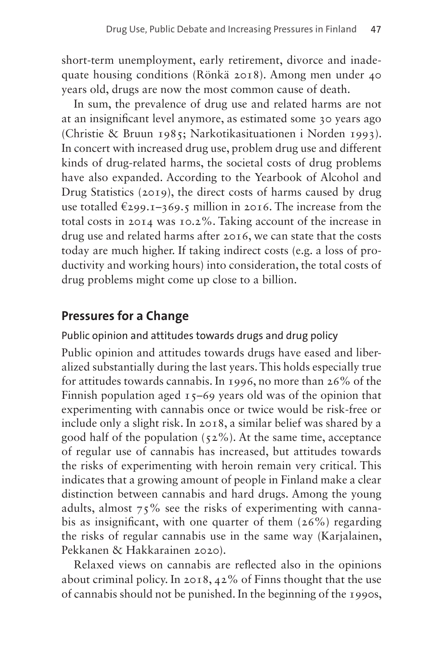short-term unemployment, early retirement, divorce and inadequate housing conditions (Rönkä 2018). Among men under 40 years old, drugs are now the most common cause of death.

In sum, the prevalence of drug use and related harms are not at an insignificant level anymore, as estimated some 30 years ago (Christie & Bruun 1985; Narkotikasituationen i Norden 1993). In concert with increased drug use, problem drug use and different kinds of drug-related harms, the societal costs of drug problems have also expanded. According to the Yearbook of Alcohol and Drug Statistics (2019), the direct costs of harms caused by drug use totalled  $\epsilon_{299.1}$ –369.5 million in 2016. The increase from the total costs in 2014 was 10.2%. Taking account of the increase in drug use and related harms after 2016, we can state that the costs today are much higher. If taking indirect costs (e.g. a loss of productivity and working hours) into consideration, the total costs of drug problems might come up close to a billion.

# **Pressures for a Change**

#### Public opinion and attitudes towards drugs and drug policy

Public opinion and attitudes towards drugs have eased and liberalized substantially during the last years. This holds especially true for attitudes towards cannabis. In 1996, no more than 26% of the Finnish population aged  $15-69$  years old was of the opinion that experimenting with cannabis once or twice would be risk-free or include only a slight risk. In 2018, a similar belief was shared by a good half of the population  $(52\%)$ . At the same time, acceptance of regular use of cannabis has increased, but attitudes towards the risks of experimenting with heroin remain very critical. This indicates that a growing amount of people in Finland make a clear distinction between cannabis and hard drugs. Among the young adults, almost 75% see the risks of experimenting with cannabis as insignificant, with one quarter of them  $(26\%)$  regarding the risks of regular cannabis use in the same way (Karjalainen, Pekkanen & Hakkarainen 2020).

Relaxed views on cannabis are reflected also in the opinions about criminal policy. In 2018, 42% of Finns thought that the use of cannabis should not be punished. In the beginning of the 1990s,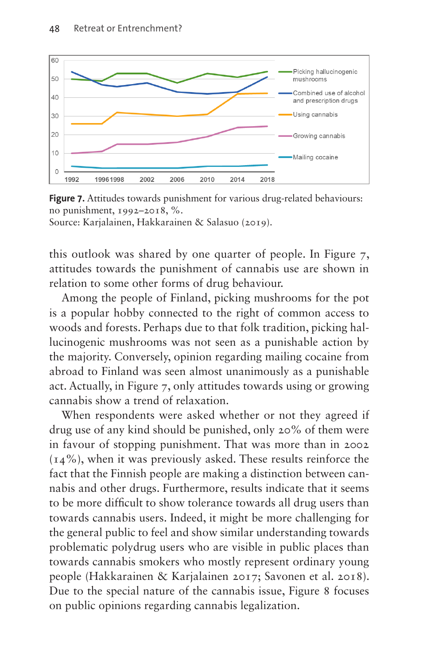

<span id="page-11-0"></span>**Figure 7.** Attitudes towards punishment for various drug-related behaviours: no punishment, 1992–2018, %. Source: Karjalainen, Hakkarainen & Salasuo (2019).

this outlook was shared by one quarter of people. In [Figure 7,](#page-11-0) attitudes towards the punishment of cannabis use are shown in relation to some other forms of drug behaviour.

Among the people of Finland, picking mushrooms for the pot is a popular hobby connected to the right of common access to woods and forests. Perhaps due to that folk tradition, picking hallucinogenic mushrooms was not seen as a punishable action by the majority. Conversely, opinion regarding mailing cocaine from abroad to Finland was seen almost unanimously as a punishable act. Actually, in [Figure 7](#page-11-0), only attitudes towards using or growing cannabis show a trend of relaxation.

When respondents were asked whether or not they agreed if drug use of any kind should be punished, only 20% of them were in favour of stopping punishment. That was more than in 2002 (14%), when it was previously asked. These results reinforce the fact that the Finnish people are making a distinction between cannabis and other drugs. Furthermore, results indicate that it seems to be more difficult to show tolerance towards all drug users than towards cannabis users. Indeed, it might be more challenging for the general public to feel and show similar understanding towards problematic polydrug users who are visible in public places than towards cannabis smokers who mostly represent ordinary young people (Hakkarainen & Karjalainen 2017; Savonen et al. 2018). Due to the special nature of the cannabis issue, [Figure 8](#page-12-0) focuses on public opinions regarding cannabis legalization.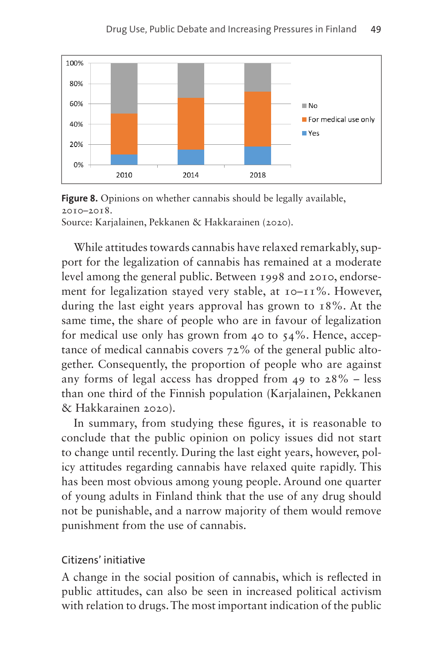

<span id="page-12-0"></span>**Figure 8.** Opinions on whether cannabis should be legally available, 2010–2018. Source: Karjalainen, Pekkanen & Hakkarainen (2020).

While attitudes towards cannabis have relaxed remarkably, support for the legalization of cannabis has remained at a moderate level among the general public. Between 1998 and 2010, endorsement for legalization stayed very stable, at 10–11%. However, during the last eight years approval has grown to 18%. At the same time, the share of people who are in favour of legalization for medical use only has grown from 40 to  $54\%$ . Hence, acceptance of medical cannabis covers 72% of the general public altogether. Consequently, the proportion of people who are against any forms of legal access has dropped from 49 to  $28\%$  – less than one third of the Finnish population (Karjalainen, Pekkanen & Hakkarainen 2020).

In summary, from studying these figures, it is reasonable to conclude that the public opinion on policy issues did not start to change until recently. During the last eight years, however, policy attitudes regarding cannabis have relaxed quite rapidly. This has been most obvious among young people. Around one quarter of young adults in Finland think that the use of any drug should not be punishable, and a narrow majority of them would remove punishment from the use of cannabis.

#### Citizens' initiative

A change in the social position of cannabis, which is reflected in public attitudes, can also be seen in increased political activism with relation to drugs. The most important indication of the public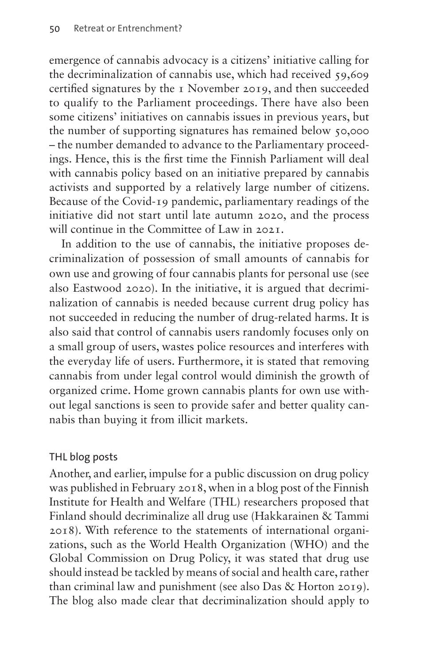emergence of cannabis advocacy is a citizens' initiative calling for the decriminalization of cannabis use, which had received 59,609 certified signatures by the 1 November 2019, and then succeeded to qualify to the Parliament proceedings. There have also been some citizens' initiatives on cannabis issues in previous years, but the number of supporting signatures has remained below 50,000 – the number demanded to advance to the Parliamentary proceedings. Hence, this is the first time the Finnish Parliament will deal with cannabis policy based on an initiative prepared by cannabis activists and supported by a relatively large number of citizens. Because of the Covid-19 pandemic, parliamentary readings of the initiative did not start until late autumn 2020, and the process will continue in the Committee of Law in 2021.

In addition to the use of cannabis, the initiative proposes decriminalization of possession of small amounts of cannabis for own use and growing of four cannabis plants for personal use (see also Eastwood 2020). In the initiative, it is argued that decriminalization of cannabis is needed because current drug policy has not succeeded in reducing the number of drug-related harms. It is also said that control of cannabis users randomly focuses only on a small group of users, wastes police resources and interferes with the everyday life of users. Furthermore, it is stated that removing cannabis from under legal control would diminish the growth of organized crime. Home grown cannabis plants for own use without legal sanctions is seen to provide safer and better quality cannabis than buying it from illicit markets.

#### THL blog posts

Another, and earlier, impulse for a public discussion on drug policy was published in February 2018, when in a blog post of the Finnish Institute for Health and Welfare (THL) researchers proposed that Finland should decriminalize all drug use (Hakkarainen & Tammi 2018). With reference to the statements of international organizations, such as the World Health Organization (WHO) and the Global Commission on Drug Policy, it was stated that drug use should instead be tackled by means of social and health care, rather than criminal law and punishment (see also Das & Horton 2019). The blog also made clear that decriminalization should apply to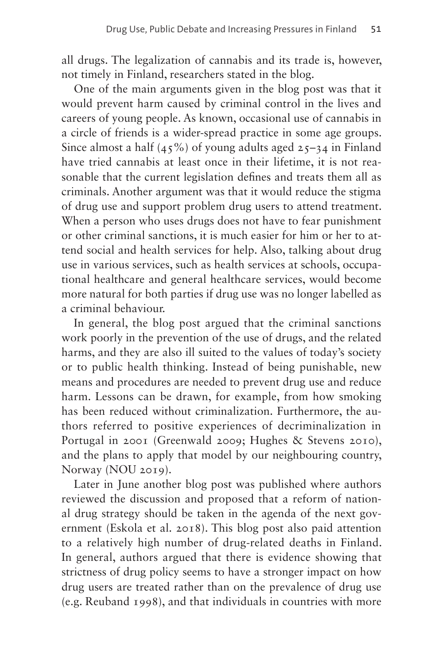all drugs. The legalization of cannabis and its trade is, however, not timely in Finland, researchers stated in the blog.

One of the main arguments given in the blog post was that it would prevent harm caused by criminal control in the lives and careers of young people. As known, occasional use of cannabis in a circle of friends is a wider-spread practice in some age groups. Since almost a half  $(45\%)$  of young adults aged  $25-34$  in Finland have tried cannabis at least once in their lifetime, it is not reasonable that the current legislation defines and treats them all as criminals. Another argument was that it would reduce the stigma of drug use and support problem drug users to attend treatment. When a person who uses drugs does not have to fear punishment or other criminal sanctions, it is much easier for him or her to attend social and health services for help. Also, talking about drug use in various services, such as health services at schools, occupational healthcare and general healthcare services, would become more natural for both parties if drug use was no longer labelled as a criminal behaviour.

In general, the blog post argued that the criminal sanctions work poorly in the prevention of the use of drugs, and the related harms, and they are also ill suited to the values of today's society or to public health thinking. Instead of being punishable, new means and procedures are needed to prevent drug use and reduce harm. Lessons can be drawn, for example, from how smoking has been reduced without criminalization. Furthermore, the authors referred to positive experiences of decriminalization in Portugal in 2001 (Greenwald 2009; Hughes & Stevens 2010), and the plans to apply that model by our neighbouring country, Norway (NOU 2019).

Later in June another blog post was published where authors reviewed the discussion and proposed that a reform of national drug strategy should be taken in the agenda of the next government (Eskola et al. 2018). This blog post also paid attention to a relatively high number of drug-related deaths in Finland. In general, authors argued that there is evidence showing that strictness of drug policy seems to have a stronger impact on how drug users are treated rather than on the prevalence of drug use (e.g. Reuband 1998), and that individuals in countries with more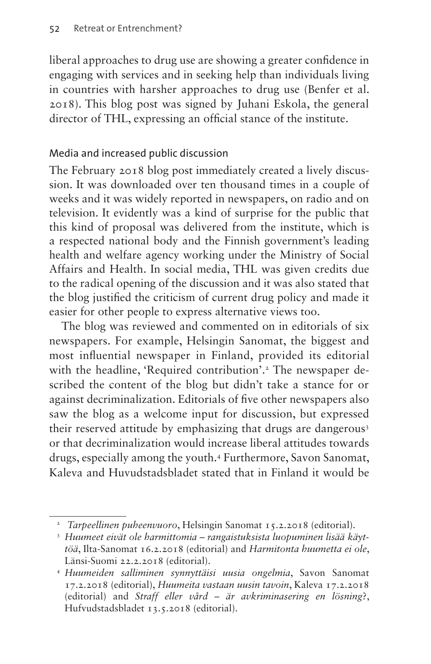liberal approaches to drug use are showing a greater confidence in engaging with services and in seeking help than individuals living in countries with harsher approaches to drug use (Benfer et al. 2018). This blog post was signed by Juhani Eskola, the general director of THL, expressing an official stance of the institute.

#### Media and increased public discussion

The February 2018 blog post immediately created a lively discussion. It was downloaded over ten thousand times in a couple of weeks and it was widely reported in newspapers, on radio and on television. It evidently was a kind of surprise for the public that this kind of proposal was delivered from the institute, which is a respected national body and the Finnish government's leading health and welfare agency working under the Ministry of Social Affairs and Health. In social media, THL was given credits due to the radical opening of the discussion and it was also stated that the blog justified the criticism of current drug policy and made it easier for other people to express alternative views too.

The blog was reviewed and commented on in editorials of six newspapers. For example, Helsingin Sanomat, the biggest and most influential newspaper in Finland, provided its editorial with the headline, 'Required contribution'.<sup>2</sup> The newspaper described the content of the blog but didn't take a stance for or against decriminalization. Editorials of five other newspapers also saw the blog as a welcome input for discussion, but expressed their reserved attitude by emphasizing that drugs are dangerous<sup>[3](#page-15-1)</sup> or that decriminalization would increase liberal attitudes towards drugs, especially among the youth[.4](#page-15-2) Furthermore, Savon Sanomat, Kaleva and Huvudstadsbladet stated that in Finland it would be

<span id="page-15-0"></span><sup>&</sup>lt;sup>2</sup> *Tarpeellinen puheenvuoro*, Helsingin Sanomat 15.2.2018 (editorial).

<span id="page-15-1"></span><sup>3</sup> *Huumeet eivät ole harmittomia – rangaistuksista luopuminen lisää käyttöä*, Ilta-Sanomat 16.2.2018 (editorial) and *Harmitonta huumetta ei ole*, Länsi-Suomi 22.2.2018 (editorial).

<span id="page-15-2"></span><sup>4</sup> *Huumeiden salliminen synnyttäisi uusia ongelmia*, Savon Sanomat 17.2.2018 (editorial), *Huumeita vastaan uusin tavoin*, Kaleva 17.2.2018 (editorial) and *Straff eller vård – är avkriminasering en lösning*?, Hufvudstadsbladet 13.5.2018 (editorial).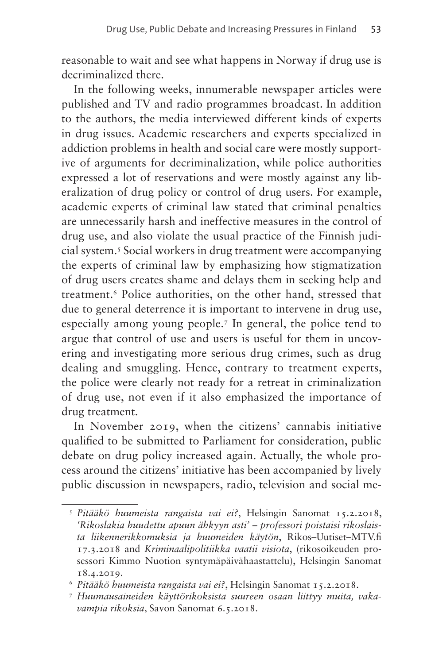reasonable to wait and see what happens in Norway if drug use is decriminalized there.

In the following weeks, innumerable newspaper articles were published and TV and radio programmes broadcast. In addition to the authors, the media interviewed different kinds of experts in drug issues. Academic researchers and experts specialized in addiction problems in health and social care were mostly supportive of arguments for decriminalization, while police authorities expressed a lot of reservations and were mostly against any liberalization of drug policy or control of drug users. For example, academic experts of criminal law stated that criminal penalties are unnecessarily harsh and ineffective measures in the control of drug use, and also violate the usual practice of the Finnish judicial system.[5](#page-16-0) Social workers in drug treatment were accompanying the experts of criminal law by emphasizing how stigmatization of drug users creates shame and delays them in seeking help and treatment[.6](#page-16-1) Police authorities, on the other hand, stressed that due to general deterrence it is important to intervene in drug use, especially among young people[.7](#page-16-2) In general, the police tend to argue that control of use and users is useful for them in uncovering and investigating more serious drug crimes, such as drug dealing and smuggling. Hence, contrary to treatment experts, the police were clearly not ready for a retreat in criminalization of drug use, not even if it also emphasized the importance of drug treatment.

In November 2019, when the citizens' cannabis initiative qualified to be submitted to Parliament for consideration, public debate on drug policy increased again. Actually, the whole process around the citizens' initiative has been accompanied by lively public discussion in newspapers, radio, television and social me-

<span id="page-16-0"></span><sup>5</sup> *Pitääkö huumeista rangaista vai ei?*, Helsingin Sanomat 15.2.2018, *'Rikoslakia huudettu apuun ähkyyn asti' – professori poistaisi rikoslaista liikennerikkomuksia ja huumeiden käytön*, Rikos–Uutiset–[MTV.fi](http://MTV.fi) 17.3.2018 and *Kriminaalipolitiikka vaatii visiota*, (rikosoikeuden prosessori Kimmo Nuotion syntymäpäivähaastattelu), Helsingin Sanomat 18.4.2019.

<span id="page-16-1"></span><sup>6</sup> *Pitääkö huumeista rangaista vai ei?*, Helsingin Sanomat 15.2.2018.

<span id="page-16-2"></span><sup>7</sup> *Huumausaineiden käyttörikoksista suureen osaan liittyy muita, vakavampia rikoksia*, Savon Sanomat 6.5.2018.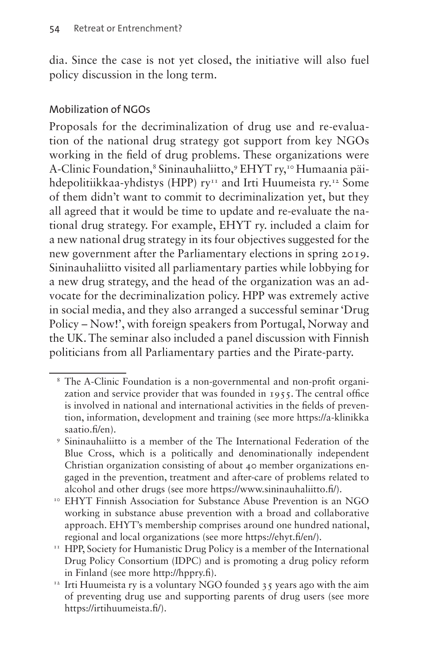dia. Since the case is not yet closed, the initiative will also fuel policy discussion in the long term.

#### Mobilization of NGOs

Proposals for the decriminalization of drug use and re-evaluation of the national drug strategy got support from key NGOs working in the field of drug problems. These organizations were A-Clinic Foundation,<sup>[8](#page-17-0)</sup> Sininauhaliitto,<sup>[9](#page-17-1)</sup> EHYT ry,<sup>10</sup> Humaania päi-hdepolitiikkaa-yhdistys (HPP) ry<sup>11</sup> and Irti Huumeista ry.<sup>[12](#page-17-4)</sup> Some of them didn't want to commit to decriminalization yet, but they all agreed that it would be time to update and re-evaluate the national drug strategy. For example, EHYT ry. included a claim for a new national drug strategy in its four objectives suggested for the new government after the Parliamentary elections in spring 2019. Sininauhaliitto visited all parliamentary parties while lobbying for a new drug strategy, and the head of the organization was an advocate for the decriminalization policy. HPP was extremely active in social media, and they also arranged a successful seminar 'Drug Policy – Now!', with foreign speakers from Portugal, Norway and the UK. The seminar also included a panel discussion with Finnish politicians from all Parliamentary parties and the Pirate-party.

<span id="page-17-0"></span><sup>8</sup> The A-Clinic Foundation is a non-governmental and non-profit organization and service provider that was founded in 1955. The central office is involved in national and international activities in the fields of prevention, information, development and training (see more [https://a-klinikka](https://a-klinikkasaatio.fi/en) [saatio.fi/en\)](https://a-klinikkasaatio.fi/en).<br>9 Sininauhaliitto is a member of the The International Federation of the

<span id="page-17-1"></span>Blue Cross, which is a politically and denominationally independent Christian organization consisting of about 40 member organizations engaged in the prevention, treatment and after-care of problems related to alcohol and other drugs (see more [https://www.sininauhaliitto.fi/\)](https://www.sininauhaliitto.fi/).

<span id="page-17-2"></span><sup>10</sup> EHYT Finnish Association for Substance Abuse Prevention is an NGO working in substance abuse prevention with a broad and collaborative approach. EHYT's membership comprises around one hundred national,

<span id="page-17-3"></span>regional and local organizations (see more<https://ehyt.fi/en/>).<br><sup>11</sup> HPP, Society for Humanistic Drug Policy is a member of the International Drug Policy Consortium (IDPC) and is promoting a drug policy reform in Finland (see more<http://hppry.fi>).

<span id="page-17-4"></span><sup>&</sup>lt;sup>12</sup> Irti Huumeista ry is a voluntary NGO founded  $35$  years ago with the aim of preventing drug use and supporting parents of drug users (see more <https://irtihuumeista.fi/>).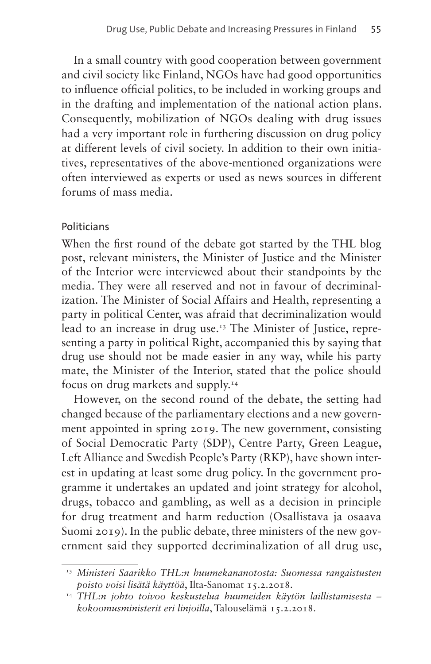In a small country with good cooperation between government and civil society like Finland, NGOs have had good opportunities to influence official politics, to be included in working groups and in the drafting and implementation of the national action plans. Consequently, mobilization of NGOs dealing with drug issues had a very important role in furthering discussion on drug policy at different levels of civil society. In addition to their own initiatives, representatives of the above-mentioned organizations were often interviewed as experts or used as news sources in different forums of mass media.

#### **Politicians**

When the first round of the debate got started by the THL blog post, relevant ministers, the Minister of Justice and the Minister of the Interior were interviewed about their standpoints by the media. They were all reserved and not in favour of decriminalization. The Minister of Social Affairs and Health, representing a party in political Center, was afraid that decriminalization would lead to an increase in drug use.<sup>13</sup> The Minister of Justice, representing a party in political Right, accompanied this by saying that drug use should not be made easier in any way, while his party mate, the Minister of the Interior, stated that the police should focus on drug markets and supply.[14](#page-18-1)

However, on the second round of the debate, the setting had changed because of the parliamentary elections and a new government appointed in spring 2019. The new government, consisting of Social Democratic Party (SDP), Centre Party, Green League, Left Alliance and Swedish People's Party (RKP), have shown interest in updating at least some drug policy. In the government programme it undertakes an updated and joint strategy for alcohol, drugs, tobacco and gambling, as well as a decision in principle for drug treatment and harm reduction (Osallistava ja osaava Suomi 2019). In the public debate, three ministers of the new government said they supported decriminalization of all drug use,

<span id="page-18-0"></span><sup>13</sup> *Ministeri Saarikko THL:n huumekananotosta: Suomessa rangaistusten poisto voisi lisätä käyttöä*, Ilta-Sanomat 15.2.2018.

<span id="page-18-1"></span><sup>14</sup> *THL:n johto toivoo keskustelua huumeiden käytön laillistamisesta – kokoomusministerit eri linjoilla*, Talouselämä 15.2.2018.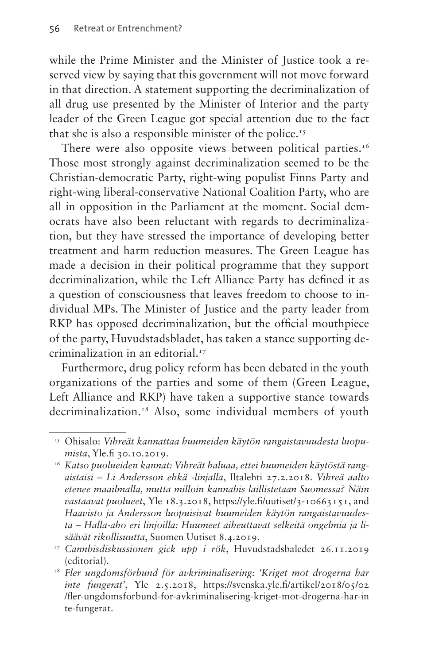while the Prime Minister and the Minister of Justice took a reserved view by saying that this government will not move forward in that direction. A statement supporting the decriminalization of all drug use presented by the Minister of Interior and the party leader of the Green League got special attention due to the fact that she is also a responsible minister of the police[.15](#page-19-0)

There were also opposite views between political parties.<sup>16</sup> Those most strongly against decriminalization seemed to be the Christian-democratic Party, right-wing populist Finns Party and right-wing liberal-conservative National Coalition Party, who are all in opposition in the Parliament at the moment. Social democrats have also been reluctant with regards to decriminalization, but they have stressed the importance of developing better treatment and harm reduction measures. The Green League has made a decision in their political programme that they support decriminalization, while the Left Alliance Party has defined it as a question of consciousness that leaves freedom to choose to individual MPs. The Minister of Justice and the party leader from RKP has opposed decriminalization, but the official mouthpiece of the party, Huvudstadsbladet, has taken a stance supporting decriminalization in an editorial[.17](#page-19-2)

Furthermore, drug policy reform has been debated in the youth organizations of the parties and some of them (Green League, Left Alliance and RKP) have taken a supportive stance towards decriminalization.<sup>[18](#page-19-3)</sup> Also, some individual members of youth

<span id="page-19-0"></span><sup>15</sup> Ohisalo: *Vihreät kannattaa huumeiden käytön rangaistavuudesta luopumista*, [Yle.fi](http://Yle.fi) 30.10.2019.

<span id="page-19-1"></span><sup>16</sup> *Katso puolueiden kannat: Vihreät haluaa, ettei huumeiden käytöstä rangaistaisi – Li Andersson ehkä -linjalla*, Iltalehti 27.2.2018. *Vihreä aalto etenee maailmalla, mutta milloin kannabis laillistetaan Suomessa? Näin vastaavat puolueet*, Yle 18.3.2018, <https://yle.fi/uutiset/3-10663151>, and *Haavisto ja Andersson luopuisivat huumeiden käytön rangaistavuudesta – Halla-aho eri linjoilla: Huumeet aiheuttavat selkeitä ongelmia ja lisäävät rikollisuutta*, Suomen Uutiset 8.4.2019.

<span id="page-19-2"></span><sup>17</sup> *Cannbisdiskussionen gick upp i rök*, Huvudstadsbaledet 26.11.2019 (editorial).

<span id="page-19-3"></span><sup>18</sup> *Fler ungdomsförbund för avkriminalisering: 'Kriget mot drogerna har inte fungerat'*, Yle 2.5.2018, [https://svenska.yle.fi/artikel/2018/05/02](https://svenska.yle.fi/artikel/2018/05/02/fler-ungdomsforbund-for-avkriminalisering-kriget-mot-drogerna-har-inte-fungerat) [/fler-ungdomsforbund-for-avkriminalisering-kriget-mot-drogerna-har-in](https://svenska.yle.fi/artikel/2018/05/02/fler-ungdomsforbund-for-avkriminalisering-kriget-mot-drogerna-har-inte-fungerat) [te-fungerat](https://svenska.yle.fi/artikel/2018/05/02/fler-ungdomsforbund-for-avkriminalisering-kriget-mot-drogerna-har-inte-fungerat).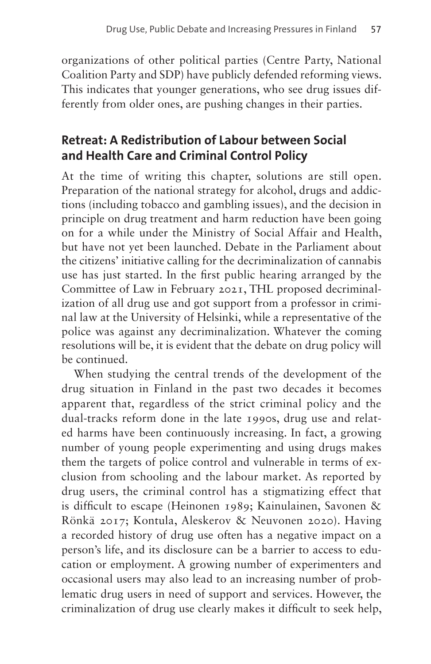organizations of other political parties (Centre Party, National Coalition Party and SDP) have publicly defended reforming views. This indicates that younger generations, who see drug issues differently from older ones, are pushing changes in their parties.

# **Retreat: A Redistribution of Labour between Social and Health Care and Criminal Control Policy**

At the time of writing this chapter, solutions are still open. Preparation of the national strategy for alcohol, drugs and addictions (including tobacco and gambling issues), and the decision in principle on drug treatment and harm reduction have been going on for a while under the Ministry of Social Affair and Health, but have not yet been launched. Debate in the Parliament about the citizens' initiative calling for the decriminalization of cannabis use has just started. In the first public hearing arranged by the Committee of Law in February 2021, THL proposed decriminalization of all drug use and got support from a professor in criminal law at the University of Helsinki, while a representative of the police was against any decriminalization. Whatever the coming resolutions will be, it is evident that the debate on drug policy will be continued.

When studying the central trends of the development of the drug situation in Finland in the past two decades it becomes apparent that, regardless of the strict criminal policy and the dual-tracks reform done in the late 1990s, drug use and related harms have been continuously increasing. In fact, a growing number of young people experimenting and using drugs makes them the targets of police control and vulnerable in terms of exclusion from schooling and the labour market. As reported by drug users, the criminal control has a stigmatizing effect that is difficult to escape (Heinonen 1989; Kainulainen, Savonen & Rönkä 2017; Kontula, Aleskerov & Neuvonen 2020). Having a recorded history of drug use often has a negative impact on a person's life, and its disclosure can be a barrier to access to education or employment. A growing number of experimenters and occasional users may also lead to an increasing number of problematic drug users in need of support and services. However, the criminalization of drug use clearly makes it difficult to seek help,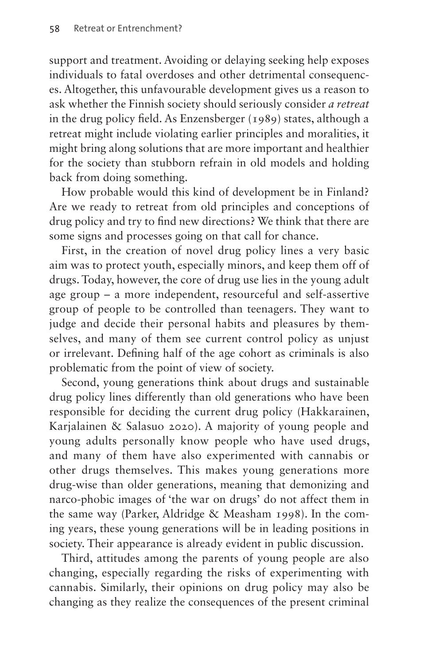support and treatment. Avoiding or delaying seeking help exposes individuals to fatal overdoses and other detrimental consequences. Altogether, this unfavourable development gives us a reason to ask whether the Finnish society should seriously consider *a retreat* in the drug policy field. As Enzensberger (1989) states, although a retreat might include violating earlier principles and moralities, it might bring along solutions that are more important and healthier for the society than stubborn refrain in old models and holding back from doing something.

How probable would this kind of development be in Finland? Are we ready to retreat from old principles and conceptions of drug policy and try to find new directions? We think that there are some signs and processes going on that call for chance.

First, in the creation of novel drug policy lines a very basic aim was to protect youth, especially minors, and keep them off of drugs. Today, however, the core of drug use lies in the young adult age group – a more independent, resourceful and self-assertive group of people to be controlled than teenagers. They want to judge and decide their personal habits and pleasures by themselves, and many of them see current control policy as unjust or irrelevant. Defining half of the age cohort as criminals is also problematic from the point of view of society.

Second, young generations think about drugs and sustainable drug policy lines differently than old generations who have been responsible for deciding the current drug policy (Hakkarainen, Karjalainen & Salasuo 2020). A majority of young people and young adults personally know people who have used drugs, and many of them have also experimented with cannabis or other drugs themselves. This makes young generations more drug-wise than older generations, meaning that demonizing and narco-phobic images of 'the war on drugs' do not affect them in the same way (Parker, Aldridge & Measham 1998). In the coming years, these young generations will be in leading positions in society. Their appearance is already evident in public discussion.

Third, attitudes among the parents of young people are also changing, especially regarding the risks of experimenting with cannabis. Similarly, their opinions on drug policy may also be changing as they realize the consequences of the present criminal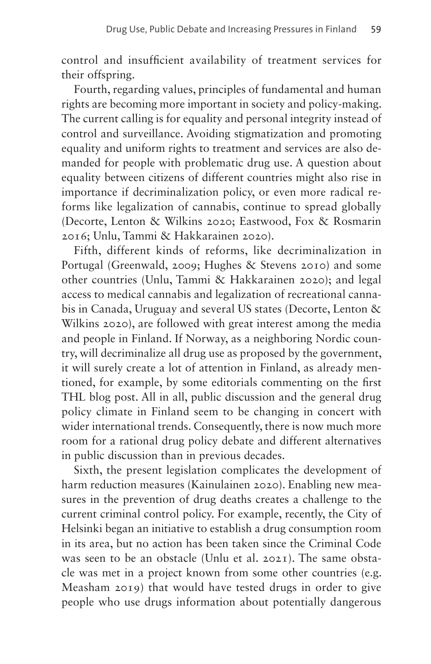control and insufficient availability of treatment services for their offspring.

Fourth, regarding values, principles of fundamental and human rights are becoming more important in society and policy-making. The current calling is for equality and personal integrity instead of control and surveillance. Avoiding stigmatization and promoting equality and uniform rights to treatment and services are also demanded for people with problematic drug use. A question about equality between citizens of different countries might also rise in importance if decriminalization policy, or even more radical reforms like legalization of cannabis, continue to spread globally (Decorte, Lenton & Wilkins 2020; Eastwood, Fox & Rosmarin 2016; Unlu, Tammi & Hakkarainen 2020).

Fifth, different kinds of reforms, like decriminalization in Portugal (Greenwald, 2009; Hughes & Stevens 2010) and some other countries (Unlu, Tammi & Hakkarainen 2020); and legal access to medical cannabis and legalization of recreational cannabis in Canada, Uruguay and several US states (Decorte, Lenton & Wilkins 2020), are followed with great interest among the media and people in Finland. If Norway, as a neighboring Nordic country, will decriminalize all drug use as proposed by the government, it will surely create a lot of attention in Finland, as already mentioned, for example, by some editorials commenting on the first THL blog post. All in all, public discussion and the general drug policy climate in Finland seem to be changing in concert with wider international trends. Consequently, there is now much more room for a rational drug policy debate and different alternatives in public discussion than in previous decades.

Sixth, the present legislation complicates the development of harm reduction measures (Kainulainen 2020). Enabling new measures in the prevention of drug deaths creates a challenge to the current criminal control policy. For example, recently, the City of Helsinki began an initiative to establish a drug consumption room in its area, but no action has been taken since the Criminal Code was seen to be an obstacle (Unlu et al. 2021). The same obstacle was met in a project known from some other countries (e.g. Measham 2019) that would have tested drugs in order to give people who use drugs information about potentially dangerous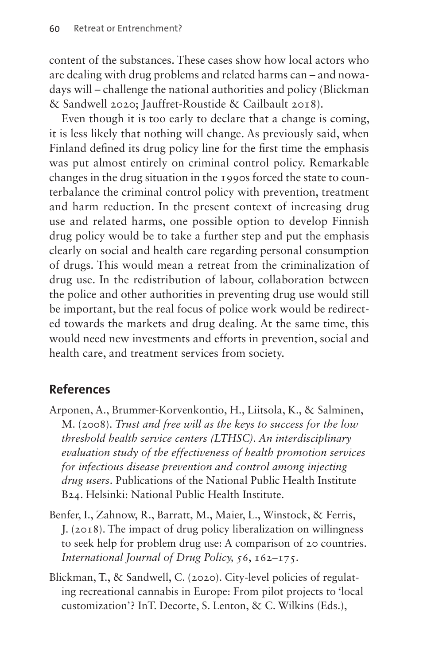content of the substances. These cases show how local actors who are dealing with drug problems and related harms can – and nowadays will – challenge the national authorities and policy (Blickman & Sandwell 2020; Jauffret-Roustide & Cailbault 2018).

Even though it is too early to declare that a change is coming, it is less likely that nothing will change. As previously said, when Finland defined its drug policy line for the first time the emphasis was put almost entirely on criminal control policy. Remarkable changes in the drug situation in the 1990s forced the state to counterbalance the criminal control policy with prevention, treatment and harm reduction. In the present context of increasing drug use and related harms, one possible option to develop Finnish drug policy would be to take a further step and put the emphasis clearly on social and health care regarding personal consumption of drugs. This would mean a retreat from the criminalization of drug use. In the redistribution of labour, collaboration between the police and other authorities in preventing drug use would still be important, but the real focus of police work would be redirected towards the markets and drug dealing. At the same time, this would need new investments and efforts in prevention, social and health care, and treatment services from society.

### **References**

- Arponen, A., Brummer-Korvenkontio, H., Liitsola, K., & Salminen, M. (2008). *Trust and free will as the keys to success for the low threshold health service centers (LTHSC). An interdisciplinary evaluation study of the effectiveness of health promotion services for infectious disease prevention and control among injecting drug users*. Publications of the National Public Health Institute B24. Helsinki: National Public Health Institute.
- Benfer, I., Zahnow, R., Barratt, M., Maier, L., Winstock, & Ferris, J. (2018). The impact of drug policy liberalization on willingness to seek help for problem drug use: A comparison of 20 countries. *International Journal of Drug Policy, 56*, 162–175.
- Blickman, T., & Sandwell, C. (2020). City-level policies of regulating recreational cannabis in Europe: From pilot projects to 'local customization'? InT. Decorte, S. Lenton, & C. Wilkins (Eds.),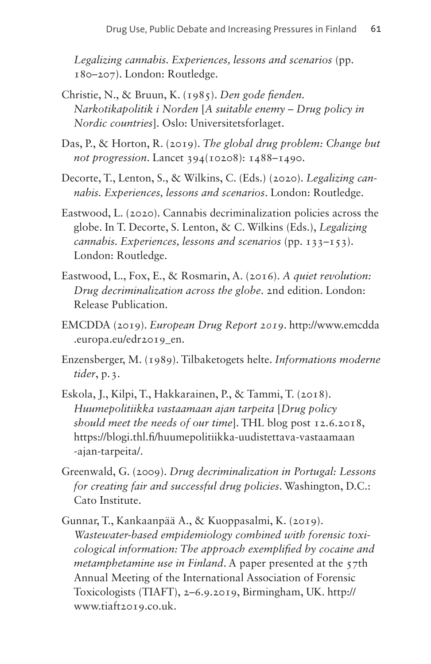*Legalizing cannabis. Experiences, lessons and scenarios* (pp. 180–207). London: Routledge.

- Christie, N., & Bruun, K. (1985). *Den gode fienden. Narkotikapolitik i Norden* [*A suitable enemy – Drug policy in Nordic countries*]. Oslo: Universitetsforlaget.
- Das, P., & Horton, R. (2019). *The global drug problem: Change but not progression*. Lancet 394(10208): 1488–1490.
- Decorte, T., Lenton, S., & Wilkins, C. (Eds.) (2020). *Legalizing cannabis. Experiences, lessons and scenarios*. London: Routledge.
- Eastwood, L. (2020). Cannabis decriminalization policies across the globe. In T. Decorte, S. Lenton, & C. Wilkins (Eds.), *Legalizing cannabis. Experiences, lessons and scenarios (pp. 133–153).* London: Routledge.
- Eastwood, L., Fox, E., & Rosmarin, A. (2016). *A quiet revolution: Drug decriminalization across the globe*. 2nd edition. London: Release Publication.
- EMCDDA (2019). *European Drug Report 2019*. [http://www.emcdda](http://www.emcdda.europa.eu/edr2019_en) [.europa.eu/edr2019\\_en](http://www.emcdda.europa.eu/edr2019_en).
- Enzensberger, M. (1989). Tilbaketogets helte. *Informations moderne tider*, p.3.
- Eskola, J., Kilpi, T., Hakkarainen, P., & Tammi, T. (2018). *Huumepolitiikka vastaamaan ajan tarpeita* [*Drug policy should meet the needs of our time*]. THL blog post 12.6.2018, [https://blogi.thl.fi/huumepolitiikka-uudistettava-vastaamaan](https://blogi.thl.fi/huumepolitiikka-uudistettava-vastaamaan-ajan-tarpeita/) [-ajan-tarpeita/](https://blogi.thl.fi/huumepolitiikka-uudistettava-vastaamaan-ajan-tarpeita/).
- Greenwald, G. (2009). *Drug decriminalization in Portugal: Lessons for creating fair and successful drug policies*. Washington, D.C.: Cato Institute.
- Gunnar, T., Kankaanpää A., & Kuoppasalmi, K. (2019). *Wastewater-based empidemiology combined with forensic toxicological information: The approach exemplified by cocaine and metamphetamine use in Finland.* A paper presented at the 57th Annual Meeting of the International Association of Forensic Toxicologists (TIAFT), 2–6.9.2019, Birmingham, UK. [http://](http://www.tiaft2019.co.uk) [www.tiaft2019.co.uk.](http://www.tiaft2019.co.uk)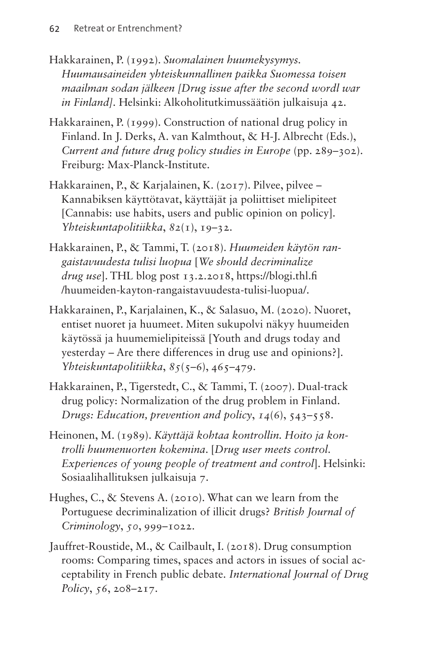- Hakkarainen, P. (1992). *Suomalainen huumekysymys. Huumausaineiden yhteiskunnallinen paikka Suomessa toisen maailman sodan jälkeen [Drug issue after the second wordl war in Finland]*. Helsinki: Alkoholitutkimussäätiön julkaisuja 42.
- Hakkarainen, P. (1999). Construction of national drug policy in Finland. In J. Derks, A. van Kalmthout, & H-J. Albrecht (Eds.), *Current and future drug policy studies in Europe* (pp. 289–302). Freiburg: Max-Planck-Institute.
- Hakkarainen, P., & Karjalainen, K. (2017). Pilvee, pilvee Kannabiksen käyttötavat, käyttäjät ja poliittiset mielipiteet [Cannabis: use habits, users and public opinion on policy]. *Yhteiskuntapolitiikka*, *82*(1), 19–32.
- Hakkarainen, P., & Tammi, T. (2018). *Huumeiden käytön rangaistavuudesta tulisi luopua* [*We should decriminalize drug use*]. THL blog post 13.2.2018, [https://blogi.thl.fi](https://blogi.thl.fi/huumeiden-kayton-rangaistavuudesta-tulisi-luopua/) [/huumeiden-kayton-rangaistavuudesta-tulisi-luopua/](https://blogi.thl.fi/huumeiden-kayton-rangaistavuudesta-tulisi-luopua/).
- Hakkarainen, P., Karjalainen, K., & Salasuo, M. (2020). Nuoret, entiset nuoret ja huumeet. Miten sukupolvi näkyy huumeiden käytössä ja huumemielipiteissä [Youth and drugs today and yesterday – Are there differences in drug use and opinions?]. *Yhteiskuntapolitiikka*, *85*(5–6), 465–479.
- Hakkarainen, P., Tigerstedt, C., & Tammi, T. (2007). Dual-track drug policy: Normalization of the drug problem in Finland. *Drugs: Education, prevention and policy*, *14*(6), 543–558.
- Heinonen, M. (1989). *Käyttäjä kohtaa kontrollin. Hoito ja kontrolli huumenuorten kokemina*. [*Drug user meets control. Experiences of young people of treatment and control*]. Helsinki: Sosiaalihallituksen julkaisuja 7.
- Hughes, C., & Stevens A. (2010). What can we learn from the Portuguese decriminalization of illicit drugs? *British Journal of Criminology*, *50*, 999–1022.
- Jauffret-Roustide, M., & Cailbault, I. (2018). Drug consumption rooms: Comparing times, spaces and actors in issues of social acceptability in French public debate. *International Journal of Drug Policy*, *56*, 208–217.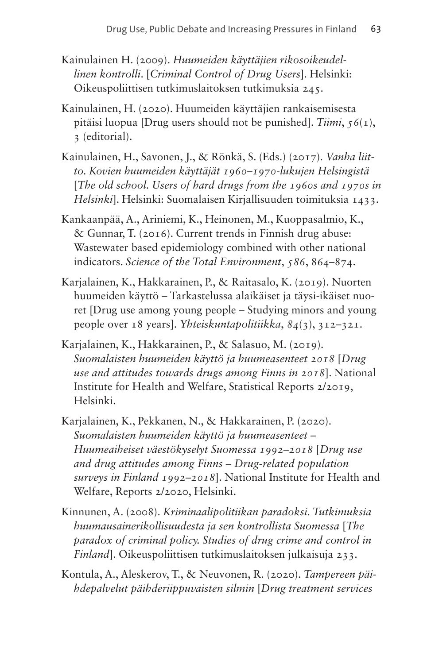- Kainulainen H. (2009). *Huumeiden käyttäjien rikosoikeudellinen kontrolli*. [*Criminal Control of Drug Users*]. Helsinki: Oikeuspoliittisen tutkimuslaitoksen tutkimuksia 245.
- Kainulainen, H. (2020). Huumeiden käyttäjien rankaisemisesta pitäisi luopua [Drug users should not be punished]. *Tiimi*, *56*(1), 3 (editorial).
- Kainulainen, H., Savonen, J., & Rönkä, S. (Eds.) (2017). *Vanha liitto. Kovien huumeiden käyttäjät 1960–1970-lukujen Helsingistä* [*The old school. Users of hard drugs from the 1960s and 1970s in Helsinki*]. Helsinki: Suomalaisen Kirjallisuuden toimituksia 1433.
- Kankaanpää, A., Ariniemi, K., Heinonen, M., Kuoppasalmio, K., & Gunnar, T. (2016). Current trends in Finnish drug abuse: Wastewater based epidemiology combined with other national indicators. *Science of the Total Environment*, *586*, 864–874.
- Karjalainen, K., Hakkarainen, P., & Raitasalo, K. (2019). Nuorten huumeiden käyttö – Tarkastelussa alaikäiset ja täysi-ikäiset nuoret [Drug use among young people – Studying minors and young people over 18 years]. *Yhteiskuntapolitiikka*, *84*(3), 312–321.
- Karjalainen, K., Hakkarainen, P., & Salasuo, M. (2019). *Suomalaisten huumeiden käyttö ja huumeasenteet 2018* [*Drug use and attitudes towards drugs among Finns in 2018*]. National Institute for Health and Welfare, Statistical Reports 2/2019, Helsinki.
- Karjalainen, K., Pekkanen, N., & Hakkarainen, P. (2020). *Suomalaisten huumeiden käyttö ja huumeasenteet – Huumeaiheiset väestökyselyt Suomessa 1992–2018* [*Drug use and drug attitudes among Finns – Drug-related population surveys in Finland 1992–2018*]. National Institute for Health and Welfare, Reports 2/2020, Helsinki.
- Kinnunen, A. (2008). *Kriminaalipolitiikan paradoksi. Tutkimuksia huumausainerikollisuudesta ja sen kontrollista Suomessa* [*The paradox of criminal policy. Studies of drug crime and control in Finland*]. Oikeuspoliittisen tutkimuslaitoksen julkaisuja 233.
- Kontula, A., Aleskerov, T., & Neuvonen, R. (2020). *Tampereen päihdepalvelut päihderiippuvaisten silmin* [*Drug treatment services*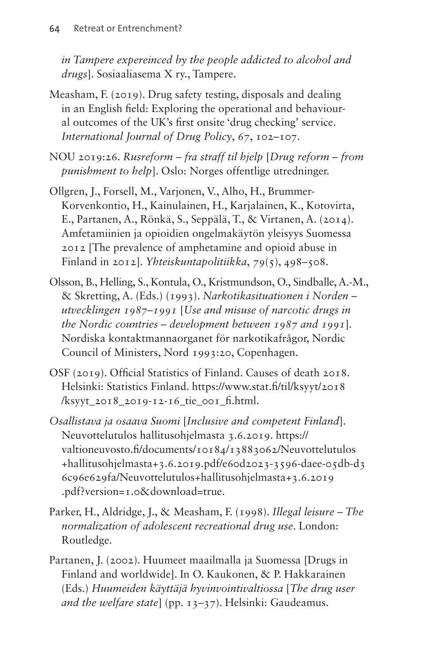*in Tampere expereinced by the people addicted to alcohol and drugs*]. Sosiaaliasema X ry., Tampere.

- Measham, F. (2019). Drug safety testing, disposals and dealing in an English field: Exploring the operational and behavioural outcomes of the UK's first onsite 'drug checking' service. *International Journal of Drug Policy*, *67*, 102–107.
- NOU 2019:26. *Rusreform fra straff til hjelp* [*Drug reform from punishment to help*]. Oslo: Norges offentlige utredninger.
- Ollgren, J., Forsell, M., Varjonen, V., Alho, H., Brummer-Korvenkontio, H., Kainulainen, H., Karjalainen, K., Kotovirta, E., Partanen, A., Rönkä, S., Seppälä, T., & Virtanen, A. (2014). Amfetamiinien ja opioidien ongelmakäytön yleisyys Suomessa 2012 [The prevalence of amphetamine and opioid abuse in Finland in 2012]. *Yhteiskuntapolitiikka*, *79*(5), 498–508.
- Olsson, B., Helling, S., Kontula, O., Kristmundson, O., Sindballe, A.-M., & Skretting, A. (Eds.) (1993). *Narkotikasituationen i Norden – utvecklingen 1987–1991* [*Use and misuse of narcotic drugs in the Nordic countries – development between 1987 and 1991*]. Nordiska kontaktmannaorganet för narkotikafrågor, Nordic Council of Ministers, Nord 1993:20, Copenhagen.
- OSF (2019). Official Statistics of Finland. Causes of death 2018. Helsinki: Statistics Finland. [https://www.stat.fi/til/ksyyt/2018](https://www.stat.fi/til/ksyyt/2018/ksyyt_2018_2019-12-16_tie_001_fi.html)  $\frac{1}{x}$  /ksyyt 2018 2019-12-16 tie 001 fi.html.
- *Osallistava ja osaava Suomi* [*Inclusive and competent Finland*]. Neuvottelutulos hallitusohjelmasta 3.6.2019. [https://](https://valtioneuvosto.fi/documents/10184/13883062/Neuvottelutulos+hallitusohjelmasta+3.6.2019.pdf/e60d2023-3596-daee-05db-d36c96e629fa/Neuvottelutulos+hallitusohjelmasta+3.6.2019.pdf?version=1.0&download=true) [valtioneuvosto.fi/documents/10184/13883062/Neuvottelutulos](https://valtioneuvosto.fi/documents/10184/13883062/Neuvottelutulos+hallitusohjelmasta+3.6.2019.pdf/e60d2023-3596-daee-05db-d36c96e629fa/Neuvottelutulos+hallitusohjelmasta+3.6.2019.pdf?version=1.0&download=true) [+hallitusohjelmasta+3.6.2019.pdf/e60d2023-3596-daee-05db-d3](https://valtioneuvosto.fi/documents/10184/13883062/Neuvottelutulos+hallitusohjelmasta+3.6.2019.pdf/e60d2023-3596-daee-05db-d36c96e629fa/Neuvottelutulos+hallitusohjelmasta+3.6.2019.pdf?version=1.0&download=true) [6c96e629fa/Neuvottelutulos+hallitusohjelmasta+3.6.2019](https://valtioneuvosto.fi/documents/10184/13883062/Neuvottelutulos+hallitusohjelmasta+3.6.2019.pdf/e60d2023-3596-daee-05db-d36c96e629fa/Neuvottelutulos+hallitusohjelmasta+3.6.2019.pdf?version=1.0&download=true) [.pdf?version=1.0&download=true.](https://valtioneuvosto.fi/documents/10184/13883062/Neuvottelutulos+hallitusohjelmasta+3.6.2019.pdf/e60d2023-3596-daee-05db-d36c96e629fa/Neuvottelutulos+hallitusohjelmasta+3.6.2019.pdf?version=1.0&download=true)
- Parker, H., Aldridge, J., & Measham, F. (1998). *Illegal leisure The normalization of adolescent recreational drug use*. London: Routledge.
- Partanen, J. (2002). Huumeet maailmalla ja Suomessa [Drugs in Finland and worldwide]. In O. Kaukonen, & P. Hakkarainen (Eds.) *Huumeiden käyttäjä hyvinvointivaltiossa* [*The drug user and the welfare state*] (pp. 13–37). Helsinki: Gaudeamus.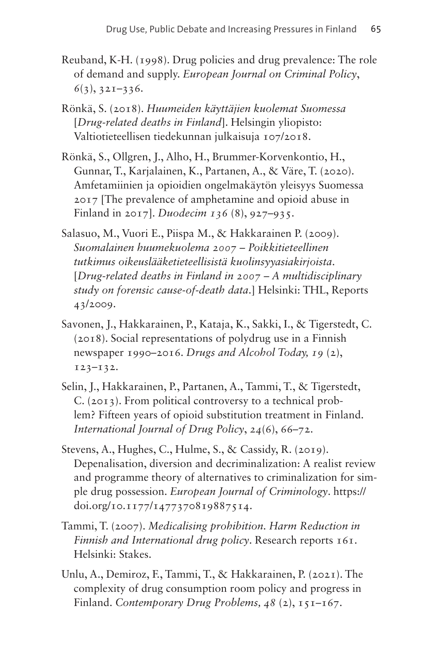- Reuband, K-H. (1998). Drug policies and drug prevalence: The role of demand and supply. *European Journal on Criminal Policy*, *6*(3), 321–336.
- Rönkä, S. (2018). *Huumeiden käyttäjien kuolemat Suomessa* [*Drug-related deaths in Finland*]. Helsingin yliopisto: Valtiotieteellisen tiedekunnan julkaisuja 107/2018.
- Rönkä, S., Ollgren, J., Alho, H., Brummer-Korvenkontio, H., Gunnar, T., Karjalainen, K., Partanen, A., & Väre, T. (2020). Amfetamiinien ja opioidien ongelmakäytön yleisyys Suomessa 2017 [The prevalence of amphetamine and opioid abuse in Finland in 2017]. *Duodecim 136* (8), 927–935.
- Salasuo, M., Vuori E., Piispa M., & Hakkarainen P. (2009). *Suomalainen huumekuolema 2007 – Poikkitieteellinen tutkimus oikeuslääketieteellisistä kuolinsyyasiakirjoista*. [*Drug-related deaths in Finland in 2007 – A multidisciplinary study on forensic cause-of-death data*.] Helsinki: THL, Reports 43/2009.
- Savonen, J., Hakkarainen, P., Kataja, K., Sakki, I., & Tigerstedt, C. (2018). Social representations of polydrug use in a Finnish newspaper 1990–2016. *Drugs and Alcohol Today, 19* (2), 123–132.
- Selin, J., Hakkarainen, P., Partanen, A., Tammi, T., & Tigerstedt, C. (2013). From political controversy to a technical problem? Fifteen years of opioid substitution treatment in Finland. *International Journal of Drug Policy*, *24*(6), 66–72.
- Stevens, A., Hughes, C., Hulme, S., & Cassidy, R. (2019). Depenalisation, diversion and decriminalization: A realist review and programme theory of alternatives to criminalization for simple drug possession. *European Journal of Criminology*. [https://](https://doi.org/10.1177/1477370819887514) [doi.org/10.1177/1477370819887514.](https://doi.org/10.1177/1477370819887514)
- Tammi, T. (2007). *Medicalising prohibition. Harm Reduction in Finnish and International drug policy*. Research reports 161. Helsinki: Stakes.
- Unlu, A., Demiroz, F., Tammi, T., & Hakkarainen, P. (2021). The complexity of drug consumption room policy and progress in Finland. *Contemporary Drug Problems, 48* (2), 151–167.